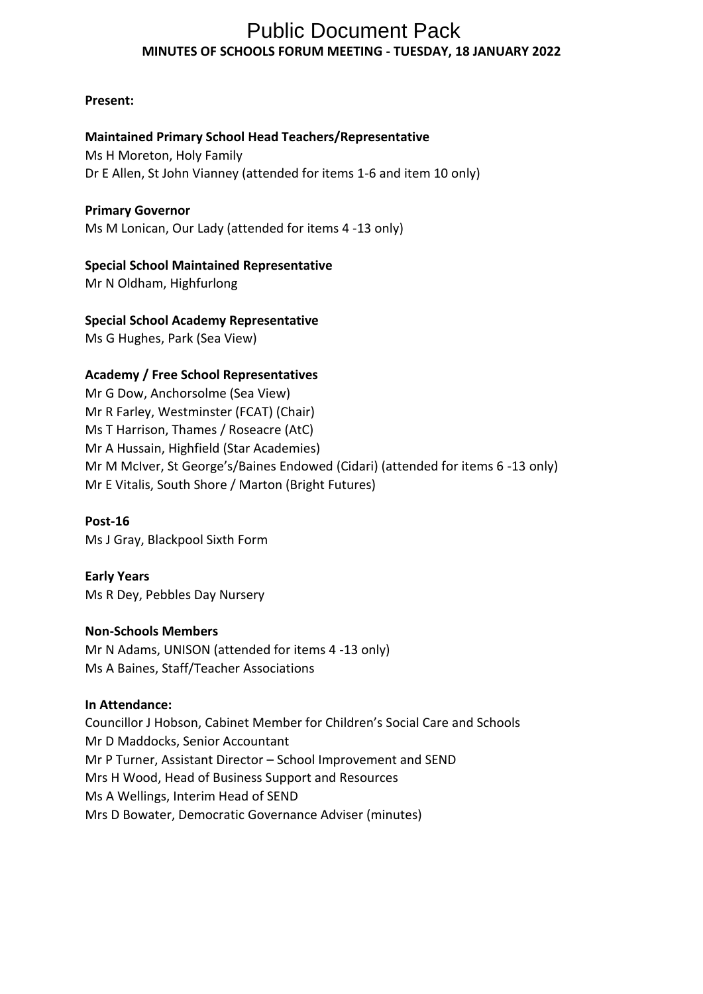# **MINUTES OF SCHOOLS FORUM MEETING - TUESDAY, 18 JANUARY 2022** Public Document Pack

### **Present:**

# **Maintained Primary School Head Teachers/Representative**

Ms H Moreton, Holy Family Dr E Allen, St John Vianney (attended for items 1-6 and item 10 only)

### **Primary Governor**

Ms M Lonican, Our Lady (attended for items 4 -13 only)

# **Special School Maintained Representative**

Mr N Oldham, Highfurlong

### **Special School Academy Representative**

Ms G Hughes, Park (Sea View)

### **Academy / Free School Representatives**

Mr G Dow, Anchorsolme (Sea View) Mr R Farley, Westminster (FCAT) (Chair) Ms T Harrison, Thames / Roseacre (AtC) Mr A Hussain, Highfield (Star Academies) Mr M McIver, St George's/Baines Endowed (Cidari) (attended for items 6 -13 only) Mr E Vitalis, South Shore / Marton (Bright Futures)

### **Post-16**

Ms J Gray, Blackpool Sixth Form

# **Early Years**

Ms R Dey, Pebbles Day Nursery

# **Non-Schools Members**

Mr N Adams, UNISON (attended for items 4 -13 only) Ms A Baines, Staff/Teacher Associations

### **In Attendance:**

Councillor J Hobson, Cabinet Member for Children's Social Care and Schools Mr D Maddocks, Senior Accountant Mr P Turner, Assistant Director – School Improvement and SEND Mrs H Wood, Head of Business Support and Resources Ms A Wellings, Interim Head of SEND Mrs D Bowater, Democratic Governance Adviser (minutes)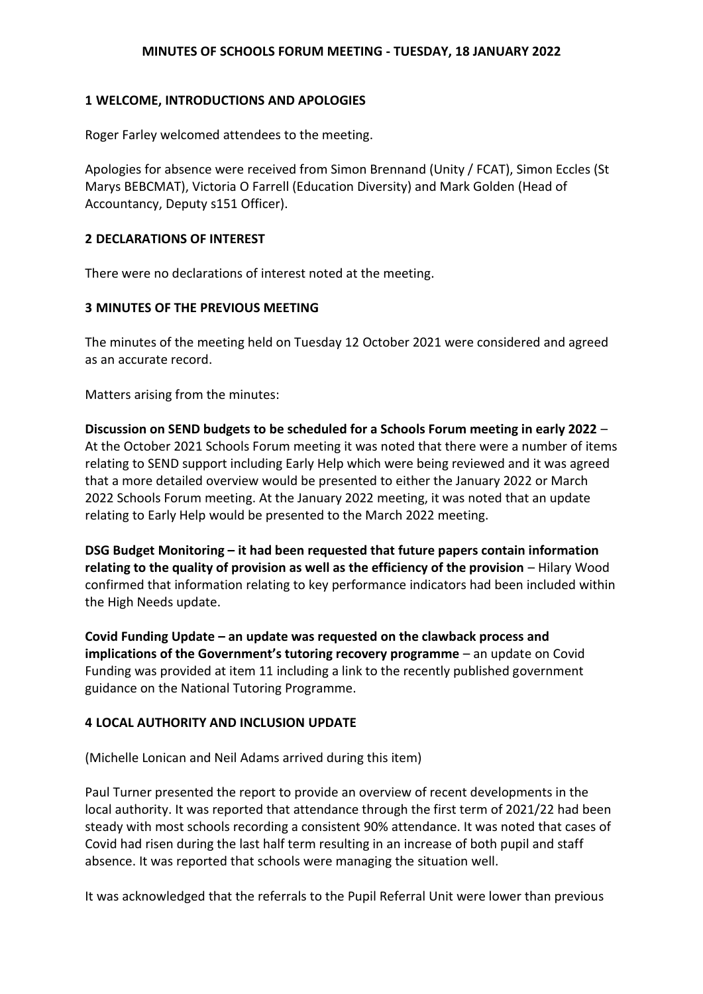### **1 WELCOME, INTRODUCTIONS AND APOLOGIES**

Roger Farley welcomed attendees to the meeting.

Apologies for absence were received from Simon Brennand (Unity / FCAT), Simon Eccles (St Marys BEBCMAT), Victoria O Farrell (Education Diversity) and Mark Golden (Head of Accountancy, Deputy s151 Officer).

#### **2 DECLARATIONS OF INTEREST**

There were no declarations of interest noted at the meeting.

#### **3 MINUTES OF THE PREVIOUS MEETING**

The minutes of the meeting held on Tuesday 12 October 2021 were considered and agreed as an accurate record.

Matters arising from the minutes:

**Discussion on SEND budgets to be scheduled for a Schools Forum meeting in early 2022** – At the October 2021 Schools Forum meeting it was noted that there were a number of items relating to SEND support including Early Help which were being reviewed and it was agreed that a more detailed overview would be presented to either the January 2022 or March 2022 Schools Forum meeting. At the January 2022 meeting, it was noted that an update relating to Early Help would be presented to the March 2022 meeting.

**DSG Budget Monitoring – it had been requested that future papers contain information relating to the quality of provision as well as the efficiency of the provision** – Hilary Wood confirmed that information relating to key performance indicators had been included within the High Needs update.

**Covid Funding Update – an update was requested on the clawback process and implications of the Government's tutoring recovery programme** – an update on Covid Funding was provided at item 11 including a link to the recently published government guidance on the National Tutoring Programme.

#### **4 LOCAL AUTHORITY AND INCLUSION UPDATE**

(Michelle Lonican and Neil Adams arrived during this item)

Paul Turner presented the report to provide an overview of recent developments in the local authority. It was reported that attendance through the first term of 2021/22 had been steady with most schools recording a consistent 90% attendance. It was noted that cases of Covid had risen during the last half term resulting in an increase of both pupil and staff absence. It was reported that schools were managing the situation well.

It was acknowledged that the referrals to the Pupil Referral Unit were lower than previous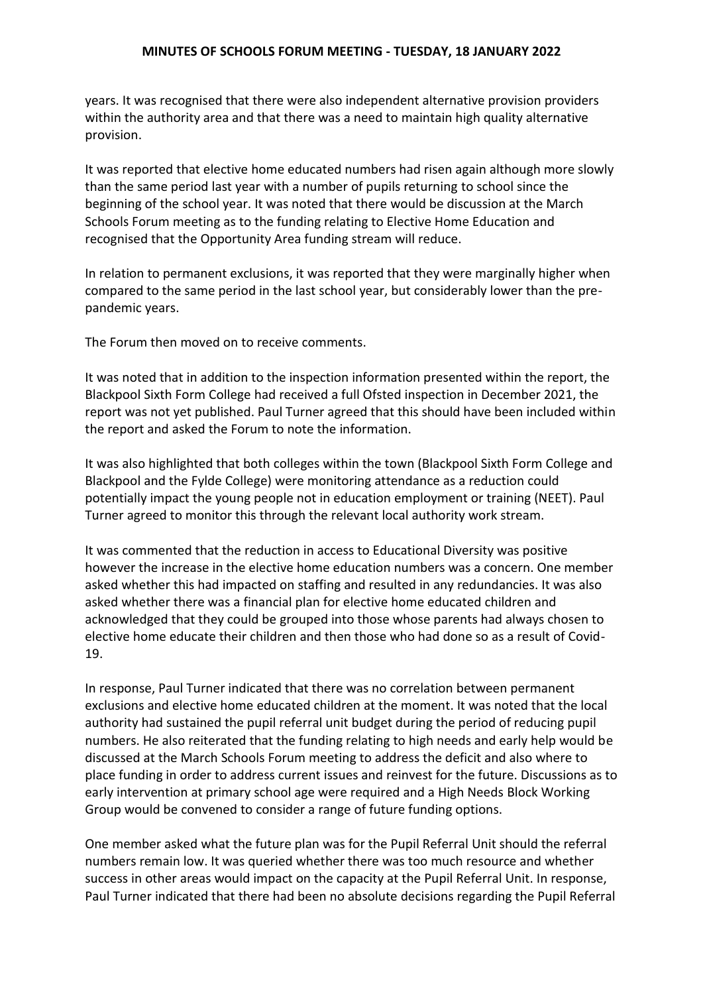years. It was recognised that there were also independent alternative provision providers within the authority area and that there was a need to maintain high quality alternative provision.

It was reported that elective home educated numbers had risen again although more slowly than the same period last year with a number of pupils returning to school since the beginning of the school year. It was noted that there would be discussion at the March Schools Forum meeting as to the funding relating to Elective Home Education and recognised that the Opportunity Area funding stream will reduce.

In relation to permanent exclusions, it was reported that they were marginally higher when compared to the same period in the last school year, but considerably lower than the prepandemic years.

The Forum then moved on to receive comments.

It was noted that in addition to the inspection information presented within the report, the Blackpool Sixth Form College had received a full Ofsted inspection in December 2021, the report was not yet published. Paul Turner agreed that this should have been included within the report and asked the Forum to note the information.

It was also highlighted that both colleges within the town (Blackpool Sixth Form College and Blackpool and the Fylde College) were monitoring attendance as a reduction could potentially impact the young people not in education employment or training (NEET). Paul Turner agreed to monitor this through the relevant local authority work stream.

It was commented that the reduction in access to Educational Diversity was positive however the increase in the elective home education numbers was a concern. One member asked whether this had impacted on staffing and resulted in any redundancies. It was also asked whether there was a financial plan for elective home educated children and acknowledged that they could be grouped into those whose parents had always chosen to elective home educate their children and then those who had done so as a result of Covid-19.

In response, Paul Turner indicated that there was no correlation between permanent exclusions and elective home educated children at the moment. It was noted that the local authority had sustained the pupil referral unit budget during the period of reducing pupil numbers. He also reiterated that the funding relating to high needs and early help would be discussed at the March Schools Forum meeting to address the deficit and also where to place funding in order to address current issues and reinvest for the future. Discussions as to early intervention at primary school age were required and a High Needs Block Working Group would be convened to consider a range of future funding options.

One member asked what the future plan was for the Pupil Referral Unit should the referral numbers remain low. It was queried whether there was too much resource and whether success in other areas would impact on the capacity at the Pupil Referral Unit. In response, Paul Turner indicated that there had been no absolute decisions regarding the Pupil Referral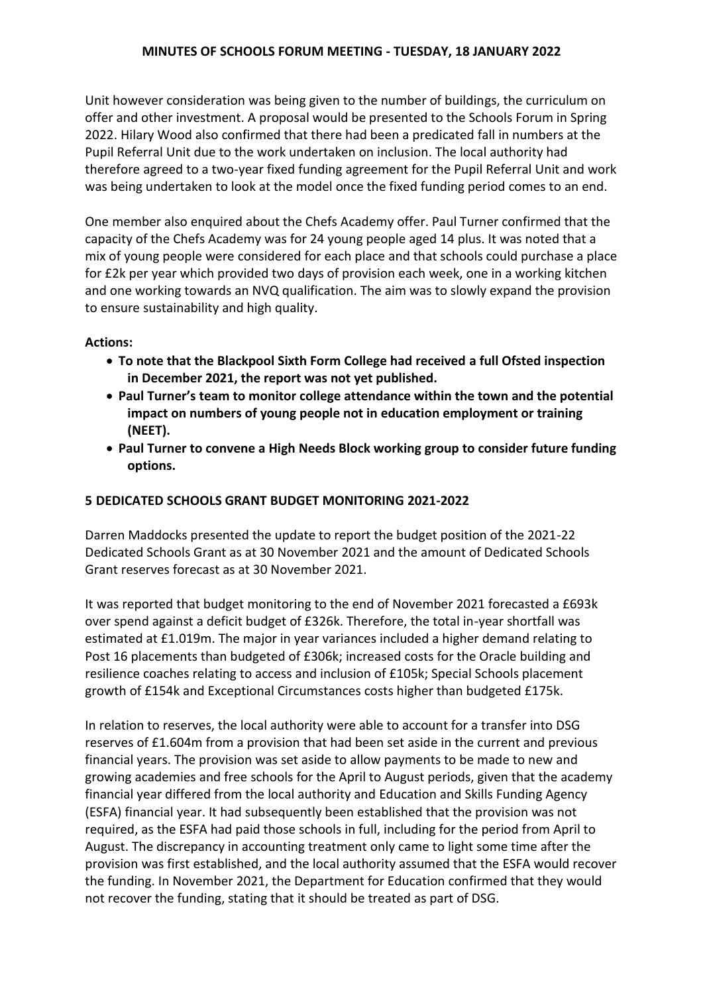Unit however consideration was being given to the number of buildings, the curriculum on offer and other investment. A proposal would be presented to the Schools Forum in Spring 2022. Hilary Wood also confirmed that there had been a predicated fall in numbers at the Pupil Referral Unit due to the work undertaken on inclusion. The local authority had therefore agreed to a two-year fixed funding agreement for the Pupil Referral Unit and work was being undertaken to look at the model once the fixed funding period comes to an end.

One member also enquired about the Chefs Academy offer. Paul Turner confirmed that the capacity of the Chefs Academy was for 24 young people aged 14 plus. It was noted that a mix of young people were considered for each place and that schools could purchase a place for £2k per year which provided two days of provision each week, one in a working kitchen and one working towards an NVQ qualification. The aim was to slowly expand the provision to ensure sustainability and high quality.

# **Actions:**

- **To note that the Blackpool Sixth Form College had received a full Ofsted inspection in December 2021, the report was not yet published.**
- **Paul Turner's team to monitor college attendance within the town and the potential impact on numbers of young people not in education employment or training (NEET).**
- **Paul Turner to convene a High Needs Block working group to consider future funding options.**

# **5 DEDICATED SCHOOLS GRANT BUDGET MONITORING 2021-2022**

Darren Maddocks presented the update to report the budget position of the 2021-22 Dedicated Schools Grant as at 30 November 2021 and the amount of Dedicated Schools Grant reserves forecast as at 30 November 2021.

It was reported that budget monitoring to the end of November 2021 forecasted a £693k over spend against a deficit budget of £326k. Therefore, the total in-year shortfall was estimated at £1.019m. The major in year variances included a higher demand relating to Post 16 placements than budgeted of £306k; increased costs for the Oracle building and resilience coaches relating to access and inclusion of £105k; Special Schools placement growth of £154k and Exceptional Circumstances costs higher than budgeted £175k.

In relation to reserves, the local authority were able to account for a transfer into DSG reserves of £1.604m from a provision that had been set aside in the current and previous financial years. The provision was set aside to allow payments to be made to new and growing academies and free schools for the April to August periods, given that the academy financial year differed from the local authority and Education and Skills Funding Agency (ESFA) financial year. It had subsequently been established that the provision was not required, as the ESFA had paid those schools in full, including for the period from April to August. The discrepancy in accounting treatment only came to light some time after the provision was first established, and the local authority assumed that the ESFA would recover the funding. In November 2021, the Department for Education confirmed that they would not recover the funding, stating that it should be treated as part of DSG.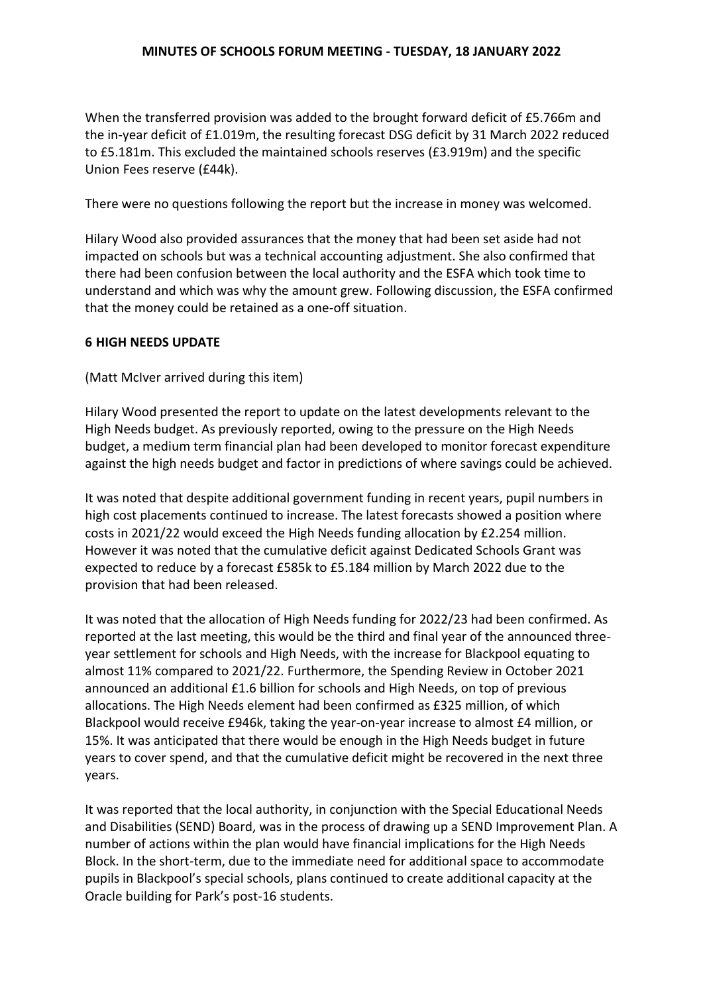When the transferred provision was added to the brought forward deficit of £5.766m and the in-year deficit of £1.019m, the resulting forecast DSG deficit by 31 March 2022 reduced to £5.181m. This excluded the maintained schools reserves (£3.919m) and the specific Union Fees reserve (£44k).

There were no questions following the report but the increase in money was welcomed.

Hilary Wood also provided assurances that the money that had been set aside had not impacted on schools but was a technical accounting adjustment. She also confirmed that there had been confusion between the local authority and the ESFA which took time to understand and which was why the amount grew. Following discussion, the ESFA confirmed that the money could be retained as a one-off situation.

### **6 HIGH NEEDS UPDATE**

(Matt McIver arrived during this item)

Hilary Wood presented the report to update on the latest developments relevant to the High Needs budget. As previously reported, owing to the pressure on the High Needs budget, a medium term financial plan had been developed to monitor forecast expenditure against the high needs budget and factor in predictions of where savings could be achieved.

It was noted that despite additional government funding in recent years, pupil numbers in high cost placements continued to increase. The latest forecasts showed a position where costs in 2021/22 would exceed the High Needs funding allocation by £2.254 million. However it was noted that the cumulative deficit against Dedicated Schools Grant was expected to reduce by a forecast £585k to £5.184 million by March 2022 due to the provision that had been released.

It was noted that the allocation of High Needs funding for 2022/23 had been confirmed. As reported at the last meeting, this would be the third and final year of the announced threeyear settlement for schools and High Needs, with the increase for Blackpool equating to almost 11% compared to 2021/22. Furthermore, the Spending Review in October 2021 announced an additional £1.6 billion for schools and High Needs, on top of previous allocations. The High Needs element had been confirmed as £325 million, of which Blackpool would receive £946k, taking the year-on-year increase to almost £4 million, or 15%. It was anticipated that there would be enough in the High Needs budget in future years to cover spend, and that the cumulative deficit might be recovered in the next three years.

It was reported that the local authority, in conjunction with the Special Educational Needs and Disabilities (SEND) Board, was in the process of drawing up a SEND Improvement Plan. A number of actions within the plan would have financial implications for the High Needs Block. In the short-term, due to the immediate need for additional space to accommodate pupils in Blackpool's special schools, plans continued to create additional capacity at the Oracle building for Park's post-16 students.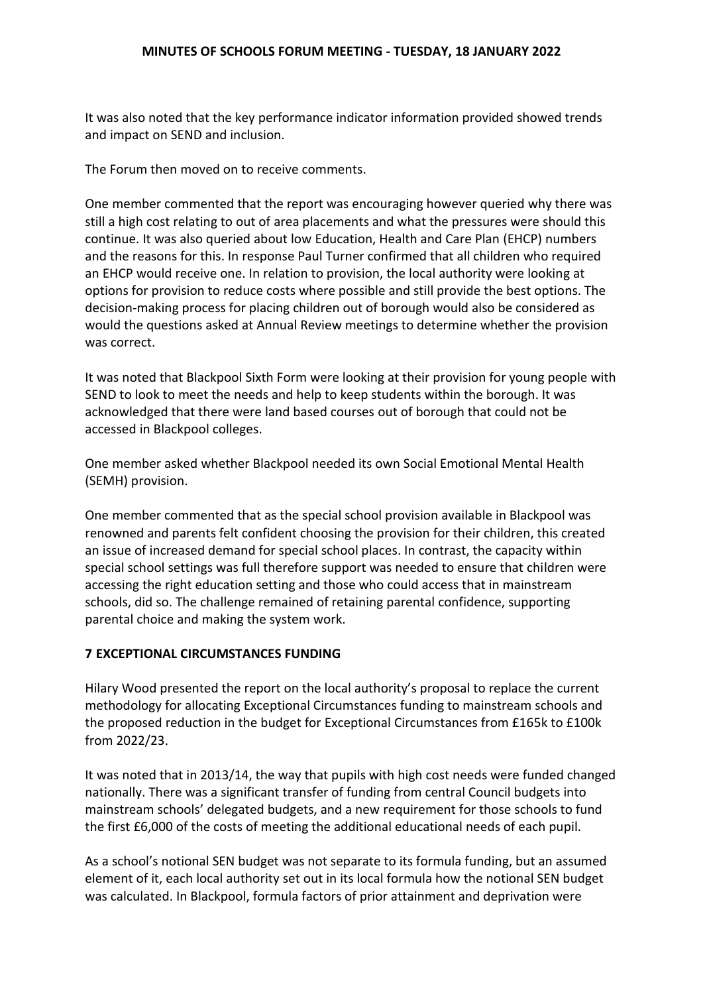It was also noted that the key performance indicator information provided showed trends and impact on SEND and inclusion.

The Forum then moved on to receive comments.

One member commented that the report was encouraging however queried why there was still a high cost relating to out of area placements and what the pressures were should this continue. It was also queried about low Education, Health and Care Plan (EHCP) numbers and the reasons for this. In response Paul Turner confirmed that all children who required an EHCP would receive one. In relation to provision, the local authority were looking at options for provision to reduce costs where possible and still provide the best options. The decision-making process for placing children out of borough would also be considered as would the questions asked at Annual Review meetings to determine whether the provision was correct.

It was noted that Blackpool Sixth Form were looking at their provision for young people with SEND to look to meet the needs and help to keep students within the borough. It was acknowledged that there were land based courses out of borough that could not be accessed in Blackpool colleges.

One member asked whether Blackpool needed its own Social Emotional Mental Health (SEMH) provision.

One member commented that as the special school provision available in Blackpool was renowned and parents felt confident choosing the provision for their children, this created an issue of increased demand for special school places. In contrast, the capacity within special school settings was full therefore support was needed to ensure that children were accessing the right education setting and those who could access that in mainstream schools, did so. The challenge remained of retaining parental confidence, supporting parental choice and making the system work.

# **7 EXCEPTIONAL CIRCUMSTANCES FUNDING**

Hilary Wood presented the report on the local authority's proposal to replace the current methodology for allocating Exceptional Circumstances funding to mainstream schools and the proposed reduction in the budget for Exceptional Circumstances from £165k to £100k from 2022/23.

It was noted that in 2013/14, the way that pupils with high cost needs were funded changed nationally. There was a significant transfer of funding from central Council budgets into mainstream schools' delegated budgets, and a new requirement for those schools to fund the first £6,000 of the costs of meeting the additional educational needs of each pupil.

As a school's notional SEN budget was not separate to its formula funding, but an assumed element of it, each local authority set out in its local formula how the notional SEN budget was calculated. In Blackpool, formula factors of prior attainment and deprivation were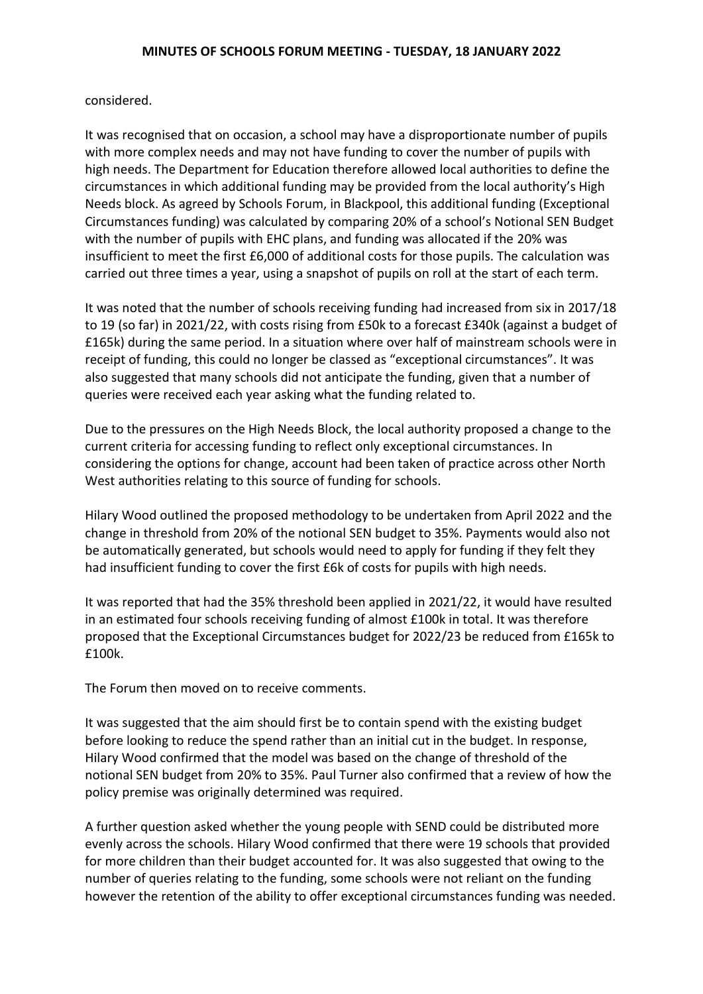considered.

It was recognised that on occasion, a school may have a disproportionate number of pupils with more complex needs and may not have funding to cover the number of pupils with high needs. The Department for Education therefore allowed local authorities to define the circumstances in which additional funding may be provided from the local authority's High Needs block. As agreed by Schools Forum, in Blackpool, this additional funding (Exceptional Circumstances funding) was calculated by comparing 20% of a school's Notional SEN Budget with the number of pupils with EHC plans, and funding was allocated if the 20% was insufficient to meet the first £6,000 of additional costs for those pupils. The calculation was carried out three times a year, using a snapshot of pupils on roll at the start of each term.

It was noted that the number of schools receiving funding had increased from six in 2017/18 to 19 (so far) in 2021/22, with costs rising from £50k to a forecast £340k (against a budget of £165k) during the same period. In a situation where over half of mainstream schools were in receipt of funding, this could no longer be classed as "exceptional circumstances". It was also suggested that many schools did not anticipate the funding, given that a number of queries were received each year asking what the funding related to.

Due to the pressures on the High Needs Block, the local authority proposed a change to the current criteria for accessing funding to reflect only exceptional circumstances. In considering the options for change, account had been taken of practice across other North West authorities relating to this source of funding for schools.

Hilary Wood outlined the proposed methodology to be undertaken from April 2022 and the change in threshold from 20% of the notional SEN budget to 35%. Payments would also not be automatically generated, but schools would need to apply for funding if they felt they had insufficient funding to cover the first £6k of costs for pupils with high needs.

It was reported that had the 35% threshold been applied in 2021/22, it would have resulted in an estimated four schools receiving funding of almost £100k in total. It was therefore proposed that the Exceptional Circumstances budget for 2022/23 be reduced from £165k to £100k.

The Forum then moved on to receive comments.

It was suggested that the aim should first be to contain spend with the existing budget before looking to reduce the spend rather than an initial cut in the budget. In response, Hilary Wood confirmed that the model was based on the change of threshold of the notional SEN budget from 20% to 35%. Paul Turner also confirmed that a review of how the policy premise was originally determined was required.

A further question asked whether the young people with SEND could be distributed more evenly across the schools. Hilary Wood confirmed that there were 19 schools that provided for more children than their budget accounted for. It was also suggested that owing to the number of queries relating to the funding, some schools were not reliant on the funding however the retention of the ability to offer exceptional circumstances funding was needed.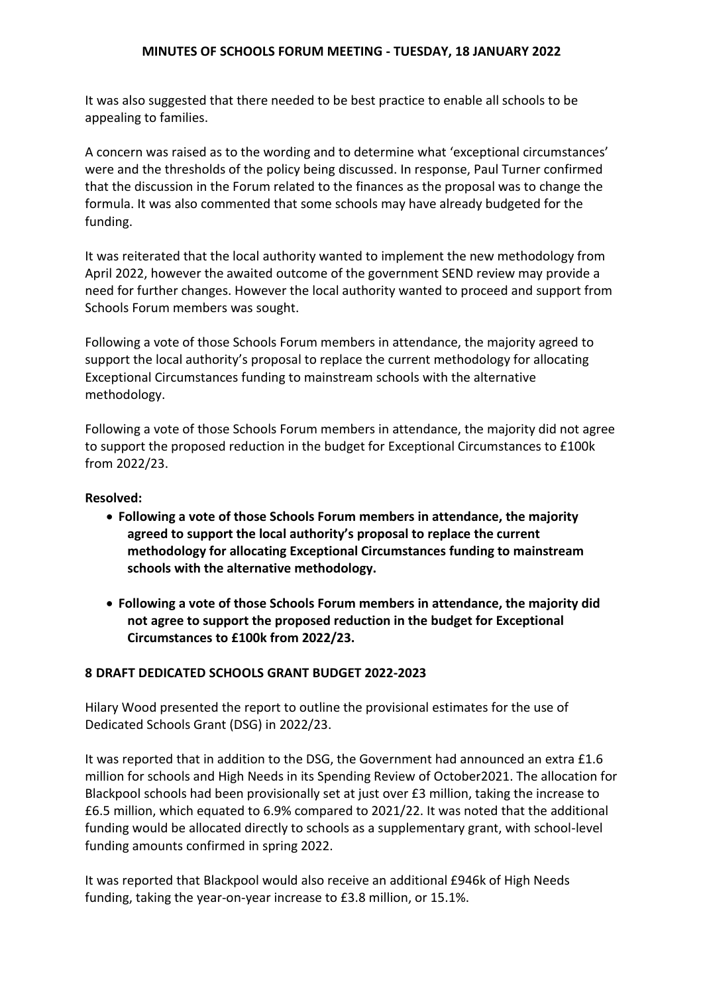It was also suggested that there needed to be best practice to enable all schools to be appealing to families.

A concern was raised as to the wording and to determine what 'exceptional circumstances' were and the thresholds of the policy being discussed. In response, Paul Turner confirmed that the discussion in the Forum related to the finances as the proposal was to change the formula. It was also commented that some schools may have already budgeted for the funding.

It was reiterated that the local authority wanted to implement the new methodology from April 2022, however the awaited outcome of the government SEND review may provide a need for further changes. However the local authority wanted to proceed and support from Schools Forum members was sought.

Following a vote of those Schools Forum members in attendance, the majority agreed to support the local authority's proposal to replace the current methodology for allocating Exceptional Circumstances funding to mainstream schools with the alternative methodology.

Following a vote of those Schools Forum members in attendance, the majority did not agree to support the proposed reduction in the budget for Exceptional Circumstances to £100k from 2022/23.

#### **Resolved:**

- **Following a vote of those Schools Forum members in attendance, the majority agreed to support the local authority's proposal to replace the current methodology for allocating Exceptional Circumstances funding to mainstream schools with the alternative methodology.**
- **Following a vote of those Schools Forum members in attendance, the majority did not agree to support the proposed reduction in the budget for Exceptional Circumstances to £100k from 2022/23.**

#### **8 DRAFT DEDICATED SCHOOLS GRANT BUDGET 2022-2023**

Hilary Wood presented the report to outline the provisional estimates for the use of Dedicated Schools Grant (DSG) in 2022/23.

It was reported that in addition to the DSG, the Government had announced an extra £1.6 million for schools and High Needs in its Spending Review of October2021. The allocation for Blackpool schools had been provisionally set at just over £3 million, taking the increase to £6.5 million, which equated to 6.9% compared to 2021/22. It was noted that the additional funding would be allocated directly to schools as a supplementary grant, with school-level funding amounts confirmed in spring 2022.

It was reported that Blackpool would also receive an additional £946k of High Needs funding, taking the year-on-year increase to £3.8 million, or 15.1%.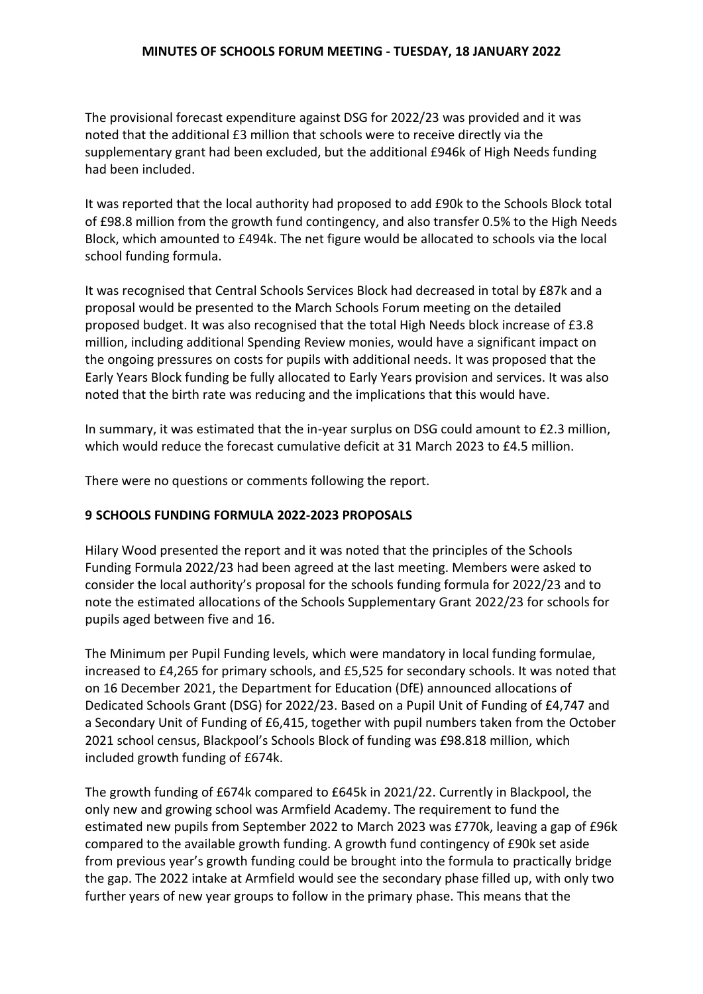The provisional forecast expenditure against DSG for 2022/23 was provided and it was noted that the additional £3 million that schools were to receive directly via the supplementary grant had been excluded, but the additional £946k of High Needs funding had been included.

It was reported that the local authority had proposed to add £90k to the Schools Block total of £98.8 million from the growth fund contingency, and also transfer 0.5% to the High Needs Block, which amounted to £494k. The net figure would be allocated to schools via the local school funding formula.

It was recognised that Central Schools Services Block had decreased in total by £87k and a proposal would be presented to the March Schools Forum meeting on the detailed proposed budget. It was also recognised that the total High Needs block increase of £3.8 million, including additional Spending Review monies, would have a significant impact on the ongoing pressures on costs for pupils with additional needs. It was proposed that the Early Years Block funding be fully allocated to Early Years provision and services. It was also noted that the birth rate was reducing and the implications that this would have.

In summary, it was estimated that the in-year surplus on DSG could amount to £2.3 million, which would reduce the forecast cumulative deficit at 31 March 2023 to £4.5 million.

There were no questions or comments following the report.

# **9 SCHOOLS FUNDING FORMULA 2022-2023 PROPOSALS**

Hilary Wood presented the report and it was noted that the principles of the Schools Funding Formula 2022/23 had been agreed at the last meeting. Members were asked to consider the local authority's proposal for the schools funding formula for 2022/23 and to note the estimated allocations of the Schools Supplementary Grant 2022/23 for schools for pupils aged between five and 16.

The Minimum per Pupil Funding levels, which were mandatory in local funding formulae, increased to £4,265 for primary schools, and £5,525 for secondary schools. It was noted that on 16 December 2021, the Department for Education (DfE) announced allocations of Dedicated Schools Grant (DSG) for 2022/23. Based on a Pupil Unit of Funding of £4,747 and a Secondary Unit of Funding of £6,415, together with pupil numbers taken from the October 2021 school census, Blackpool's Schools Block of funding was £98.818 million, which included growth funding of £674k.

The growth funding of £674k compared to £645k in 2021/22. Currently in Blackpool, the only new and growing school was Armfield Academy. The requirement to fund the estimated new pupils from September 2022 to March 2023 was £770k, leaving a gap of £96k compared to the available growth funding. A growth fund contingency of £90k set aside from previous year's growth funding could be brought into the formula to practically bridge the gap. The 2022 intake at Armfield would see the secondary phase filled up, with only two further years of new year groups to follow in the primary phase. This means that the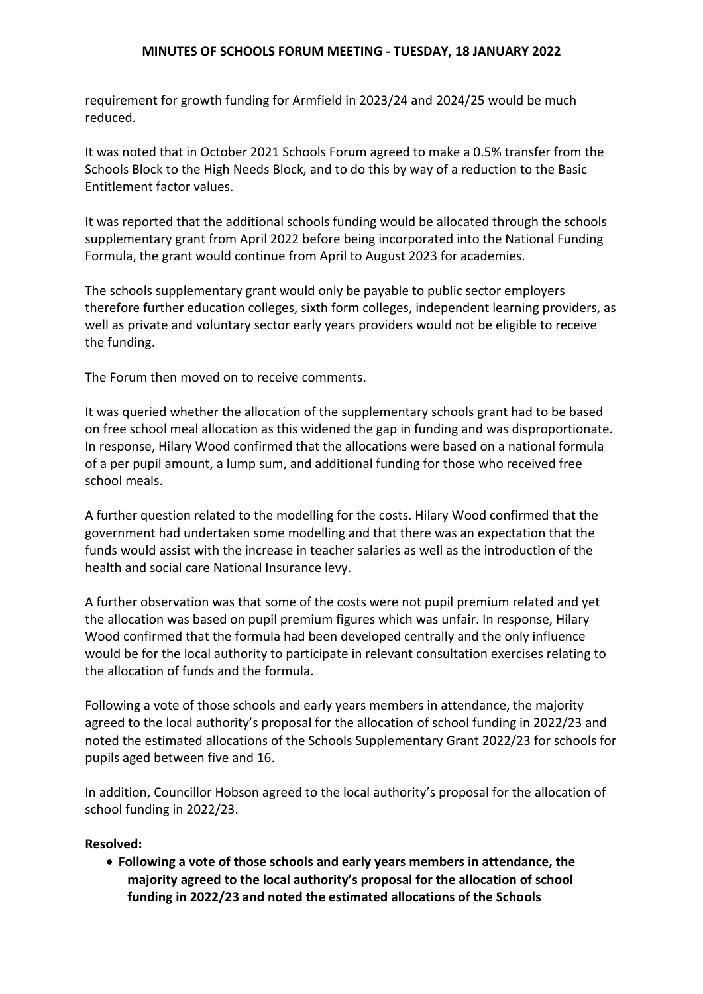requirement for growth funding for Armfield in 2023/24 and 2024/25 would be much reduced.

It was noted that in October 2021 Schools Forum agreed to make a 0.5% transfer from the Schools Block to the High Needs Block, and to do this by way of a reduction to the Basic Entitlement factor values.

It was reported that the additional schools funding would be allocated through the schools supplementary grant from April 2022 before being incorporated into the National Funding Formula, the grant would continue from April to August 2023 for academies.

The schools supplementary grant would only be payable to public sector employers therefore further education colleges, sixth form colleges, independent learning providers, as well as private and voluntary sector early years providers would not be eligible to receive the funding.

The Forum then moved on to receive comments.

It was queried whether the allocation of the supplementary schools grant had to be based on free school meal allocation as this widened the gap in funding and was disproportionate. In response, Hilary Wood confirmed that the allocations were based on a national formula of a per pupil amount, a lump sum, and additional funding for those who received free school meals.

A further question related to the modelling for the costs. Hilary Wood confirmed that the government had undertaken some modelling and that there was an expectation that the funds would assist with the increase in teacher salaries as well as the introduction of the health and social care National Insurance levy.

A further observation was that some of the costs were not pupil premium related and yet the allocation was based on pupil premium figures which was unfair. In response, Hilary Wood confirmed that the formula had been developed centrally and the only influence would be for the local authority to participate in relevant consultation exercises relating to the allocation of funds and the formula.

Following a vote of those schools and early years members in attendance, the majority agreed to the local authority's proposal for the allocation of school funding in 2022/23 and noted the estimated allocations of the Schools Supplementary Grant 2022/23 for schools for pupils aged between five and 16.

In addition, Councillor Hobson agreed to the local authority's proposal for the allocation of school funding in 2022/23.

### **Resolved:**

 **Following a vote of those schools and early years members in attendance, the majority agreed to the local authority's proposal for the allocation of school funding in 2022/23 and noted the estimated allocations of the Schools**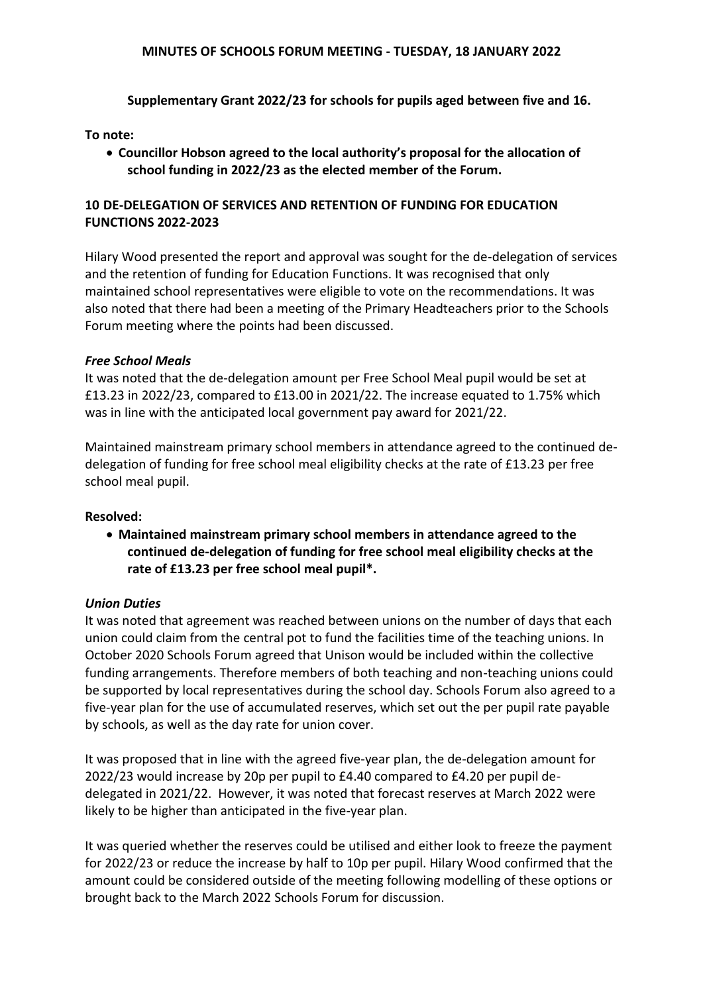**Supplementary Grant 2022/23 for schools for pupils aged between five and 16.**

# **To note:**

 **Councillor Hobson agreed to the local authority's proposal for the allocation of school funding in 2022/23 as the elected member of the Forum.**

# **10 DE-DELEGATION OF SERVICES AND RETENTION OF FUNDING FOR EDUCATION FUNCTIONS 2022-2023**

Hilary Wood presented the report and approval was sought for the de-delegation of services and the retention of funding for Education Functions. It was recognised that only maintained school representatives were eligible to vote on the recommendations. It was also noted that there had been a meeting of the Primary Headteachers prior to the Schools Forum meeting where the points had been discussed.

### *Free School Meals*

It was noted that the de-delegation amount per Free School Meal pupil would be set at £13.23 in 2022/23, compared to £13.00 in 2021/22. The increase equated to 1.75% which was in line with the anticipated local government pay award for 2021/22.

Maintained mainstream primary school members in attendance agreed to the continued dedelegation of funding for free school meal eligibility checks at the rate of £13.23 per free school meal pupil.

# **Resolved:**

 **Maintained mainstream primary school members in attendance agreed to the continued de-delegation of funding for free school meal eligibility checks at the rate of £13.23 per free school meal pupil\*.**

### *Union Duties*

It was noted that agreement was reached between unions on the number of days that each union could claim from the central pot to fund the facilities time of the teaching unions. In October 2020 Schools Forum agreed that Unison would be included within the collective funding arrangements. Therefore members of both teaching and non-teaching unions could be supported by local representatives during the school day. Schools Forum also agreed to a five-year plan for the use of accumulated reserves, which set out the per pupil rate payable by schools, as well as the day rate for union cover.

It was proposed that in line with the agreed five-year plan, the de-delegation amount for 2022/23 would increase by 20p per pupil to £4.40 compared to £4.20 per pupil dedelegated in 2021/22. However, it was noted that forecast reserves at March 2022 were likely to be higher than anticipated in the five-year plan.

It was queried whether the reserves could be utilised and either look to freeze the payment for 2022/23 or reduce the increase by half to 10p per pupil. Hilary Wood confirmed that the amount could be considered outside of the meeting following modelling of these options or brought back to the March 2022 Schools Forum for discussion.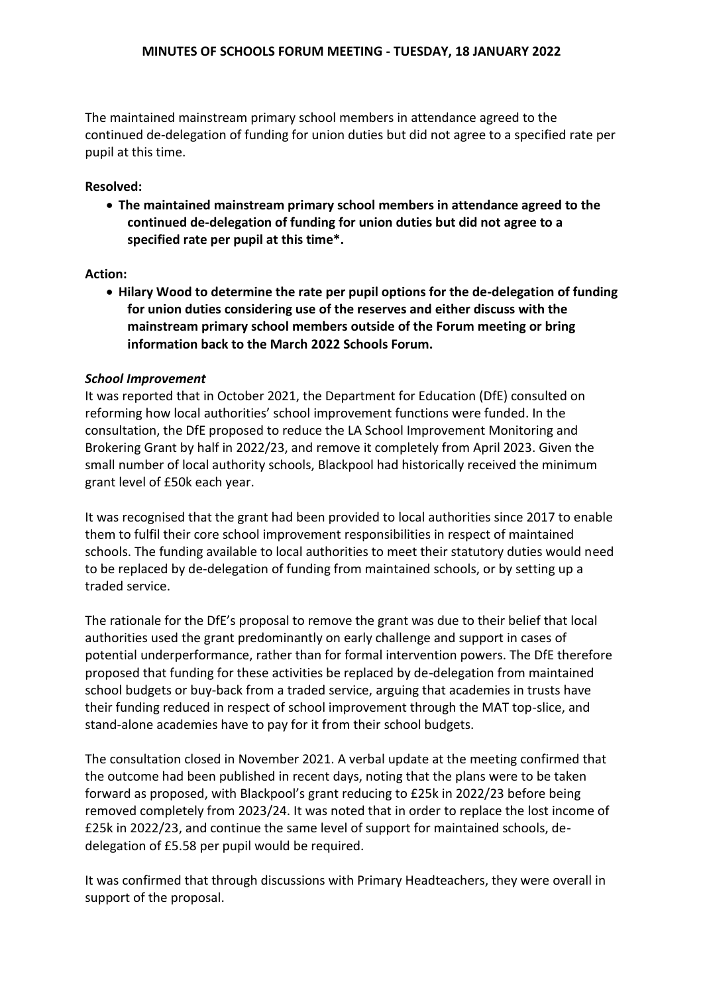The maintained mainstream primary school members in attendance agreed to the continued de-delegation of funding for union duties but did not agree to a specified rate per pupil at this time.

# **Resolved:**

 **The maintained mainstream primary school members in attendance agreed to the continued de-delegation of funding for union duties but did not agree to a specified rate per pupil at this time\*.**

### **Action:**

 **Hilary Wood to determine the rate per pupil options for the de-delegation of funding for union duties considering use of the reserves and either discuss with the mainstream primary school members outside of the Forum meeting or bring information back to the March 2022 Schools Forum.**

### *School Improvement*

It was reported that in October 2021, the Department for Education (DfE) consulted on reforming how local authorities' school improvement functions were funded. In the consultation, the DfE proposed to reduce the LA School Improvement Monitoring and Brokering Grant by half in 2022/23, and remove it completely from April 2023. Given the small number of local authority schools, Blackpool had historically received the minimum grant level of £50k each year.

It was recognised that the grant had been provided to local authorities since 2017 to enable them to fulfil their core school improvement responsibilities in respect of maintained schools. The funding available to local authorities to meet their statutory duties would need to be replaced by de-delegation of funding from maintained schools, or by setting up a traded service.

The rationale for the DfE's proposal to remove the grant was due to their belief that local authorities used the grant predominantly on early challenge and support in cases of potential underperformance, rather than for formal intervention powers. The DfE therefore proposed that funding for these activities be replaced by de-delegation from maintained school budgets or buy-back from a traded service, arguing that academies in trusts have their funding reduced in respect of school improvement through the MAT top-slice, and stand-alone academies have to pay for it from their school budgets.

The consultation closed in November 2021. A verbal update at the meeting confirmed that the outcome had been published in recent days, noting that the plans were to be taken forward as proposed, with Blackpool's grant reducing to £25k in 2022/23 before being removed completely from 2023/24. It was noted that in order to replace the lost income of £25k in 2022/23, and continue the same level of support for maintained schools, dedelegation of £5.58 per pupil would be required.

It was confirmed that through discussions with Primary Headteachers, they were overall in support of the proposal.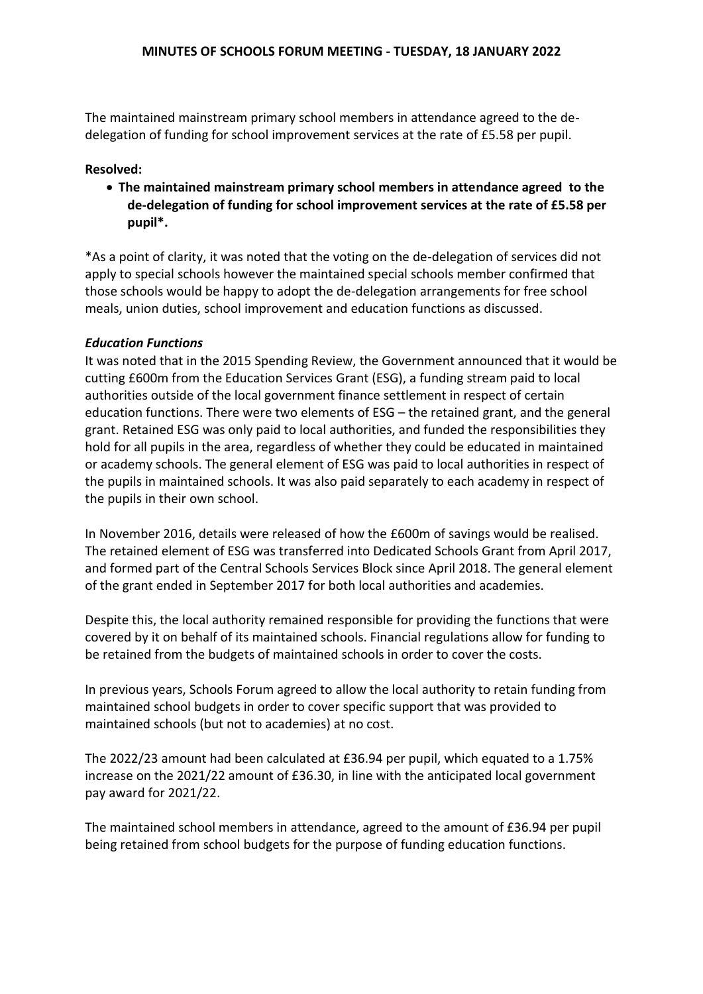The maintained mainstream primary school members in attendance agreed to the dedelegation of funding for school improvement services at the rate of £5.58 per pupil.

# **Resolved:**

 **The maintained mainstream primary school members in attendance agreed to the de-delegation of funding for school improvement services at the rate of £5.58 per pupil\*.**

\*As a point of clarity, it was noted that the voting on the de-delegation of services did not apply to special schools however the maintained special schools member confirmed that those schools would be happy to adopt the de-delegation arrangements for free school meals, union duties, school improvement and education functions as discussed.

### *Education Functions*

It was noted that in the 2015 Spending Review, the Government announced that it would be cutting £600m from the Education Services Grant (ESG), a funding stream paid to local authorities outside of the local government finance settlement in respect of certain education functions. There were two elements of ESG – the retained grant, and the general grant. Retained ESG was only paid to local authorities, and funded the responsibilities they hold for all pupils in the area, regardless of whether they could be educated in maintained or academy schools. The general element of ESG was paid to local authorities in respect of the pupils in maintained schools. It was also paid separately to each academy in respect of the pupils in their own school.

In November 2016, details were released of how the £600m of savings would be realised. The retained element of ESG was transferred into Dedicated Schools Grant from April 2017, and formed part of the Central Schools Services Block since April 2018. The general element of the grant ended in September 2017 for both local authorities and academies.

Despite this, the local authority remained responsible for providing the functions that were covered by it on behalf of its maintained schools. Financial regulations allow for funding to be retained from the budgets of maintained schools in order to cover the costs.

In previous years, Schools Forum agreed to allow the local authority to retain funding from maintained school budgets in order to cover specific support that was provided to maintained schools (but not to academies) at no cost.

The 2022/23 amount had been calculated at £36.94 per pupil, which equated to a 1.75% increase on the 2021/22 amount of £36.30, in line with the anticipated local government pay award for 2021/22.

The maintained school members in attendance, agreed to the amount of £36.94 per pupil being retained from school budgets for the purpose of funding education functions.